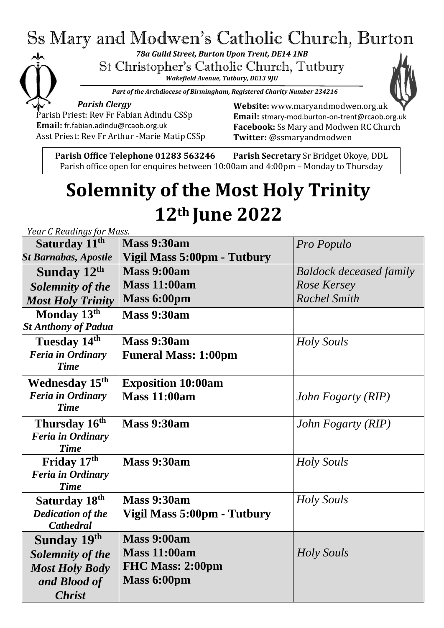## Ss Mary and Modwen's Catholic Church, Burton

*78a Guild Street, Burton Upon Trent, DE14 1NB*

St Christopher's Catholic Church, Tutbury

*Wakefield Avenue, Tutbury, DE13 9JU*



*Part of the Archdiocese of Birmingham, Registered Charity Number 234216*

*Parish Clergy* Parish Priest: Rev Fr Fabian Adindu CSSp **Email:** [fr.fabian.adindu@rcaob.org.uk](mailto:fr.fabian.adindu@rcaob.org.uk) Asst Priest: Rev Fr Arthur -Marie Matip CSSp **Website:** [www.maryandmodwen.org.uk](http://www.maryandmodwen.org.uk/) **Email:** [stmary-mod.burton-on-trent@rcaob.org.uk](mailto:stmary-mod.burton-on-trent@rcaob.org.uk) **Facebook:** Ss Mary and Modwen RC Church **Twitter:** @ssmaryandmodwen

Parish office open for enquires between 10:00am and 4:00pm – Monday to Thursday **Parish Office Telephone 01283 563246 Parish Secretary** Sr Bridget Okoye, DDL

# **Solemnity of the Most Holy Trinity 12th June 2022**

*Year C Readings for Mass.*  **Saturday 11th** *St Barnabas, Apostle* **Mass 9:30am Vigil Mass 5:00pm - Tutbury** *Pro Populo* **Sunday 12th** *Solemnity of the Most Holy Trinity* **Mass 9:00am Mass 11:00am Mass 6:00pm** *Baldock deceased family Rose Kersey Rachel Smith* **Monday 13th** *St Anthony of Padua* **Mass 9:30am Tuesday 14th** *Feria in Ordinary Time* **Mass 9:30am Funeral Mass: 1:00pm** *Holy Souls* **Wednesday 15th**  *Feria in Ordinary Time* **Exposition 10:00am Mass 11:00am** *John Fogarty (RIP)* **Thursday 16th**  *Feria in Ordinary Time* **Mass 9:30am** *John Fogarty (RIP)* **Friday 17th** *Feria in Ordinary Time* **Mass 9:30am** *Holy Souls* **Saturday 18th** *Dedication of the Cathedral* **Mass 9:30am Vigil Mass 5:00pm - Tutbury** *Holy Souls* **Sunday 19th** *Solemnity of the Most Holy Body and Blood of Christ* **Mass 9:00am Mass 11:00am FHC Mass: 2:00pm Mass 6:00pm** *Holy Souls*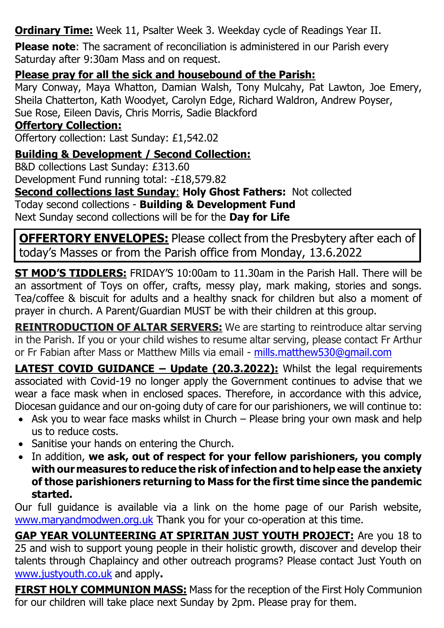**Ordinary Time:** Week 11, Psalter Week 3. Weekday cycle of Readings Year II.

**Please note**: The sacrament of reconciliation is administered in our Parish every Saturday after 9:30am Mass and on request.

#### **Please pray for all the sick and housebound of the Parish:**

Mary Conway, Maya Whatton, Damian Walsh, Tony Mulcahy, Pat Lawton, Joe Emery, Sheila Chatterton, Kath Woodyet, Carolyn Edge, Richard Waldron, Andrew Poyser, Sue Rose, Eileen Davis, Chris Morris, Sadie Blackford

#### **Offertory Collection:**

Offertory collection: Last Sunday: £1,542.02

### **Building & Development / Second Collection:**

B&D collections Last Sunday: £313.60 Development Fund running total: -£18,579.82 **Second collections last Sunday**: **Holy Ghost Fathers:** Not collected Today second collections - **Building & Development Fund** Next Sunday second collections will be for the **Day for Life**

**OFFERTORY ENVELOPES:** Please collect from the Presbytery after each of today's Masses or from the Parish office from Monday, 13.6.2022

**ST MOD'S TIDDLERS:** FRIDAY'S 10:00am to 11.30am in the Parish Hall. There will be an assortment of Toys on offer, crafts, messy play, mark making, stories and songs. Tea/coffee & biscuit for adults and a healthy snack for children but also a moment of prayer in church. A Parent/Guardian MUST be with their children at this group.

**REINTRODUCTION OF ALTAR SERVERS:** We are starting to reintroduce altar serving in the Parish. If you or your child wishes to resume altar serving, please contact Fr Arthur or Fr Fabian after Mass or Matthew Mills via email - [mills.matthew530@gmail.com](mailto:mills.matthew530@gmail.com)

**LATEST COVID GUIDANCE – Update (20.3.2022):** Whilst the legal requirements associated with Covid-19 no longer apply the Government continues to advise that we wear a face mask when in enclosed spaces. Therefore, in accordance with this advice, Diocesan guidance and our on-going duty of care for our parishioners, we will continue to:

- Ask you to wear face masks whilst in Church Please bring your own mask and help us to reduce costs.
- Sanitise your hands on entering the Church.
- In addition, **we ask, out of respect for your fellow parishioners, you comply with ourmeasures to reduce the risk ofinfection and to help ease the anxiety of those parishioners returning to Mass for the first time since the pandemic started.**

Our full guidance is available via a link on the home page of our Parish website, [www.maryandmodwen.org.uk](http://www.maryandmodwen.org.uk/) Thank you for your co-operation at this time.

**GAP YEAR VOLUNTEERING AT SPIRITAN JUST YOUTH PROJECT:** Are you 18 to 25 and wish to support young people in their holistic growth, discover and develop their talents through Chaplaincy and other outreach programs? Please contact Just Youth on [www.justyouth.co.uk](file:///C:/Users/Rosemary/Downloads/www.justyouth.co.uk) and apply**.**

**FIRST HOLY COMMUNION MASS:** Mass for the reception of the First Holy Communion for our children will take place next Sunday by 2pm. Please pray for them.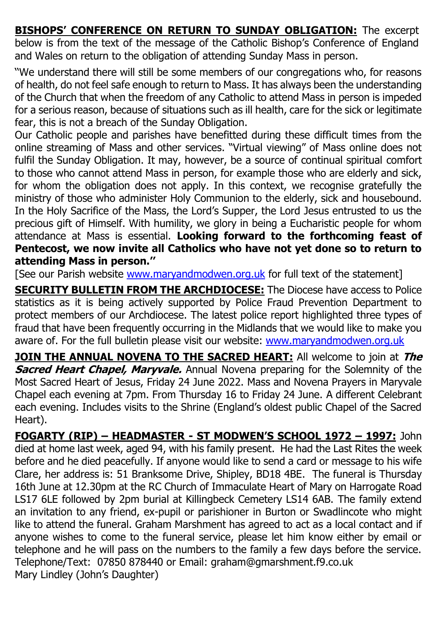**BISHOPS' CONFERENCE ON RETURN TO SUNDAY OBLIGATION:** The excerpt below is from the text of the message of the Catholic Bishop's Conference of England and Wales on return to the obligation of attending Sunday Mass in person.

''We understand there will still be some members of our congregations who, for reasons of health, do not feel safe enough to return to Mass. It has always been the understanding of the Church that when the freedom of any Catholic to attend Mass in person is impeded for a serious reason, because of situations such as ill health, care for the sick or legitimate fear, this is not a breach of the Sunday Obligation.

Our Catholic people and parishes have benefitted during these difficult times from the online streaming of Mass and other services. "Virtual viewing" of Mass online does not fulfil the Sunday Obligation. It may, however, be a source of continual spiritual comfort to those who cannot attend Mass in person, for example those who are elderly and sick, for whom the obligation does not apply. In this context, we recognise gratefully the ministry of those who administer Holy Communion to the elderly, sick and housebound. In the Holy Sacrifice of the Mass, the Lord's Supper, the Lord Jesus entrusted to us the precious gift of Himself. With humility, we glory in being a Eucharistic people for whom attendance at Mass is essential. **Looking forward to the forthcoming feast of Pentecost, we now invite all Catholics who have not yet done so to return to attending Mass in person.''** 

[See our Parish website [www.maryandmodwen.org.uk](http://www.maryandmodwen.org.uk/) for full text of the statement]

**SECURITY BULLETIN FROM THE ARCHDIOCESE:** The Diocese have access to Police statistics as it is being actively supported by Police Fraud Prevention Department to protect members of our Archdiocese. The latest police report highlighted three types of fraud that have been frequently occurring in the Midlands that we would like to make you aware of. For the full bulletin please visit our website: [www.maryandmodwen.org.uk](http://www.maryandmodwen.org.uk/)

**JOIN THE ANNUAL NOVENA TO THE SACRED HEART:** All welcome to join at **The Sacred Heart Chapel, Maryvale.** Annual Novena preparing for the Solemnity of the Most Sacred Heart of Jesus, Friday 24 June 2022. Mass and Novena Prayers in Maryvale Chapel each evening at 7pm. From Thursday 16 to Friday 24 June. A different Celebrant each evening. Includes visits to the Shrine (England's oldest public Chapel of the Sacred Heart).

**FOGARTY (RIP) – HEADMASTER - ST MODWEN'S SCHOOL 1972 – 1997:** John died at home last week, aged 94, with his family present. He had the Last Rites the week before and he died peacefully. If anyone would like to send a card or message to his wife Clare, her address is: 51 Branksome Drive, Shipley, BD18 4BE. The funeral is Thursday 16th June at 12.30pm at the RC Church of Immaculate Heart of Mary on Harrogate Road LS17 6LE followed by 2pm burial at Killingbeck Cemetery LS14 6AB. The family extend an invitation to any friend, ex-pupil or parishioner in Burton or Swadlincote who might like to attend the funeral. Graham Marshment has agreed to act as a local contact and if anyone wishes to come to the funeral service, please let him know either by email or telephone and he will pass on the numbers to the family a few days before the service. Telephone/Text: 07850 878440 or Email: graham@gmarshment.f9.co.uk Mary Lindley (John's Daughter)